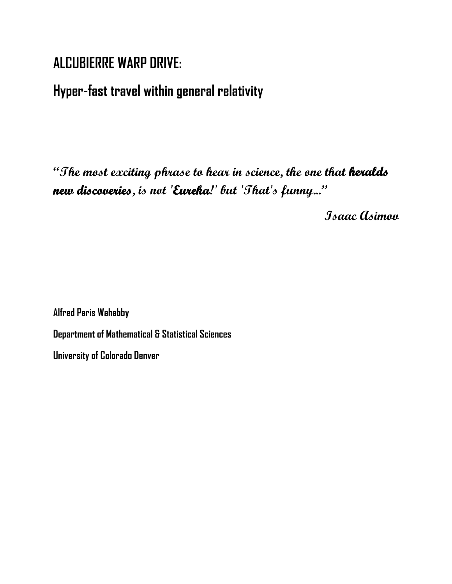# **ALCUBIERRE WARP DRIVE:**

# **Hyper-fast travel within general relativity**

**"The most exciting phrase to hear in science, the one that heralds new discoveries, is not 'Eureka!' but 'That's funny..."**

**Isaac Asimov**

**Alfred Paris Wahabby Department of Mathematical & Statistical Sciences University of Colorado Denver**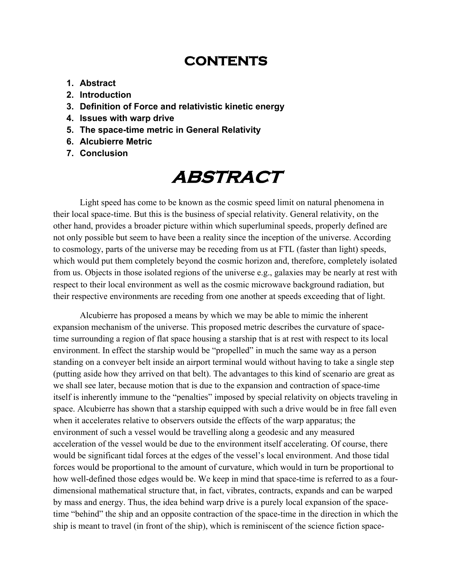## **CONTENTS**

- **1. Abstract**
- **2. Introduction**
- **3. Definition of Force and relativistic kinetic energy**
- **4. Issues with warp drive**
- **5. The space-time metric in General Relativity**
- **6. Alcubierre Metric**
- **7. Conclusion**

# **ABSTRACT**

Light speed has come to be known as the cosmic speed limit on natural phenomena in their local space-time. But this is the business of special relativity. General relativity, on the other hand, provides a broader picture within which superluminal speeds, properly defined are not only possible but seem to have been a reality since the inception of the universe. According to cosmology, parts of the universe may be receding from us at FTL (faster than light) speeds, which would put them completely beyond the cosmic horizon and, therefore, completely isolated from us. Objects in those isolated regions of the universe e.g., galaxies may be nearly at rest with respect to their local environment as well as the cosmic microwave background radiation, but their respective environments are receding from one another at speeds exceeding that of light.

Alcubierre has proposed a means by which we may be able to mimic the inherent expansion mechanism of the universe. This proposed metric describes the curvature of spacetime surrounding a region of flat space housing a starship that is at rest with respect to its local environment. In effect the starship would be "propelled" in much the same way as a person standing on a conveyer belt inside an airport terminal would without having to take a single step (putting aside how they arrived on that belt). The advantages to this kind of scenario are great as we shall see later, because motion that is due to the expansion and contraction of space-time itself is inherently immune to the "penalties" imposed by special relativity on objects traveling in space. Alcubierre has shown that a starship equipped with such a drive would be in free fall even when it accelerates relative to observers outside the effects of the warp apparatus; the environment of such a vessel would be travelling along a geodesic and any measured acceleration of the vessel would be due to the environment itself accelerating. Of course, there would be significant tidal forces at the edges of the vessel's local environment. And those tidal forces would be proportional to the amount of curvature, which would in turn be proportional to how well-defined those edges would be. We keep in mind that space-time is referred to as a fourdimensional mathematical structure that, in fact, vibrates, contracts, expands and can be warped by mass and energy. Thus, the idea behind warp drive is a purely local expansion of the spacetime "behind" the ship and an opposite contraction of the space-time in the direction in which the ship is meant to travel (in front of the ship), which is reminiscent of the science fiction space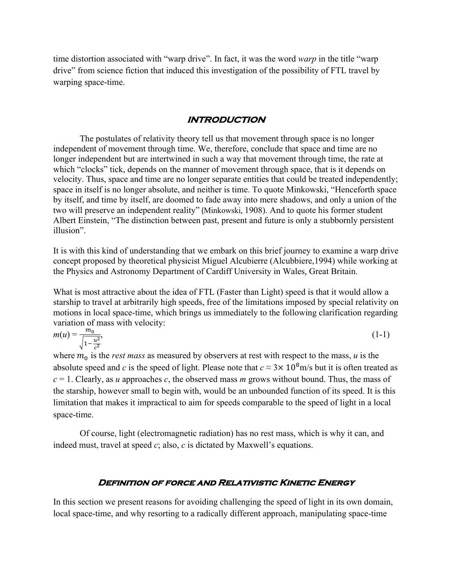time distortion associated with "warp drive". In fact, it was the word *warp* in the title "warp drive" from science fiction that induced this investigation of the possibility of FTL travel by warping space-time.

#### **INTRODUCTION**

The postulates of relativity theory tell us that movement through space is no longer independent of movement through time. We, therefore, conclude that space and time are no longer independent but are intertwined in such a way that movement through time, the rate at which "clocks" tick, depends on the manner of movement through space, that is it depends on velocity. Thus, space and time are no longer separate entities that could be treated independently; space in itself is no longer absolute, and neither is time. To quote Minkowski, "Henceforth space by itself, and time by itself, are doomed to fade away into mere shadows, and only a union of the two will preserve an independent reality" (Minkowski, 1908). And to quote his former student Albert Einstein, "The distinction between past, present and future is only a stubbornly persistent illusion".

It is with this kind of understanding that we embark on this brief journey to examine a warp drive concept proposed by theoretical physicist Miguel Alcubierre (Alcubbiere,1994) while working at the Physics and Astronomy Department of Cardiff University in Wales, Great Britain.

What is most attractive about the idea of FTL (Faster than Light) speed is that it would allow a starship to travel at arbitrarily high speeds, free of the limitations imposed by special relativity on motions in local space-time, which brings us immediately to the following clarification regarding variation of mass with velocity:

$$
m(u) = \frac{m_0}{\sqrt{1 - \frac{u^2}{c^2}}},
$$
\n(1-1)

where  $m_0$  is the *rest mass* as measured by observers at rest with respect to the mass, *u* is the absolute speed and *c* is the speed of light. Please note that  $c \approx 3 \times 10^8$  m/s but it is often treated as  $c = 1$ . Clearly, as *u* approaches *c*, the observed mass *m* grows without bound. Thus, the mass of the starship, however small to begin with, would be an unbounded function of its speed. It is this limitation that makes it impractical to aim for speeds comparable to the speed of light in a local space-time.

Of course, light (electromagnetic radiation) has no rest mass, which is why it can, and indeed must, travel at speed *c*; also, *c* is dictated by Maxwell's equations.

#### **Definition of force and Relativistic Kinetic Energy**

In this section we present reasons for avoiding challenging the speed of light in its own domain, local space-time, and why resorting to a radically different approach, manipulating space-time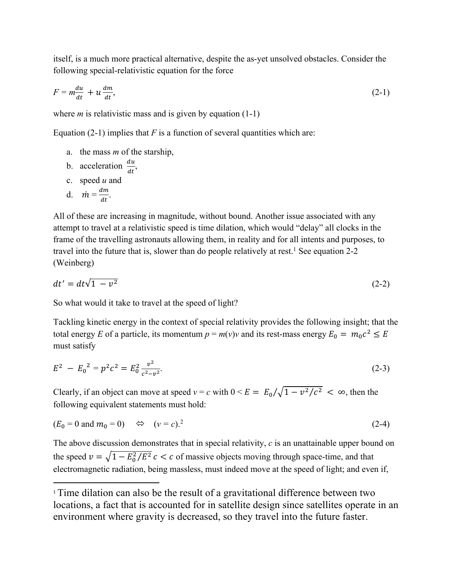itself, is a much more practical alternative, despite the as-yet unsolved obstacles. Consider the following special-relativistic equation for the force

$$
F = m \frac{du}{dt} + u \frac{dm}{dt},\tag{2-1}
$$

where *m* is relativistic mass and is given by equation (1-1)

Equation  $(2-1)$  implies that *F* is a function of several quantities which are:

- a. the mass *m* of the starship,
- b. acceleration  $\frac{du}{dt}$ ,

c. speed 
$$
u
$$
 and

d. 
$$
\dot{m} = \frac{dm}{dt}
$$
.

All of these are increasing in magnitude, without bound. Another issue associated with any attempt to travel at a relativistic speed is time dilation, which would "delay" all clocks in the frame of the travelling astronauts allowing them, in reality and for all intents and purposes, to travel into the future that is, slower than do people relatively at rest.<sup>1</sup> See equation 2-2 (Weinberg)

$$
dt' = dt\sqrt{1 - v^2} \tag{2-2}
$$

So what would it take to travel at the speed of light?

Tackling kinetic energy in the context of special relativity provides the following insight; that the total energy *E* of a particle, its momentum  $p = m(v)v$  and its rest-mass energy  $E_0 = m_0c^2 \le E$ must satisfy

$$
E^2 - E_0^2 = p^2 c^2 = E_0^2 \frac{v^2}{c^2 - v^2}.
$$
 (2-3)

Clearly, if an object can move at speed  $v = c$  with  $0 \le E = E_0 / \sqrt{1 - v^2/c^2} < \infty$ , then the following equivalent statements must hold:

$$
(E_0 = 0 \text{ and } m_0 = 0) \qquad \Leftrightarrow \qquad (v = c).^2 \tag{2-4}
$$

The above discussion demonstrates that in special relativity, *c* is an unattainable upper bound on the speed  $v = \sqrt{1 - E_0^2/E^2} c < c$  of massive objects moving through space-time, and that electromagnetic radiation, being massless, must indeed move at the speed of light; and even if,

<sup>&</sup>lt;sup>1</sup> Time dilation can also be the result of a gravitational difference between two locations, a fact that is accounted for in satellite design since satellites operate in an environment where gravity is decreased, so they travel into the future faster.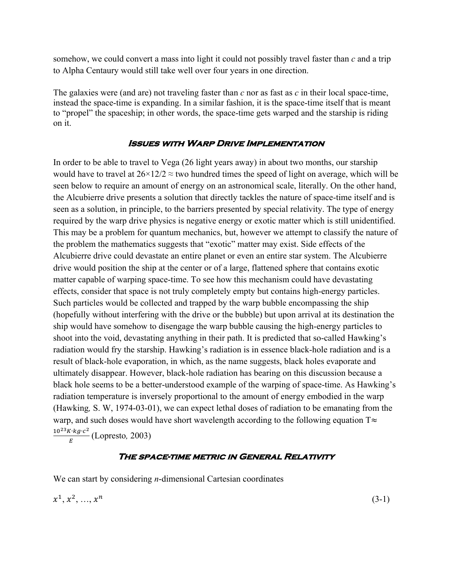somehow, we could convert a mass into light it could not possibly travel faster than *c* and a trip to Alpha Centaury would still take well over four years in one direction.

The galaxies were (and are) not traveling faster than *c* nor as fast as *c* in their local space-time, instead the space-time is expanding. In a similar fashion, it is the space-time itself that is meant to "propel" the spaceship; in other words, the space-time gets warped and the starship is riding on it.

### **Issues with Warp Drive Implementation**

In order to be able to travel to Vega (26 light years away) in about two months, our starship would have to travel at  $26 \times 12/2 \approx$  two hundred times the speed of light on average, which will be seen below to require an amount of energy on an astronomical scale, literally. On the other hand, the Alcubierre drive presents a solution that directly tackles the nature of space-time itself and is seen as a solution, in principle, to the barriers presented by special relativity. The type of energy required by the warp drive physics is negative energy or exotic matter which is still unidentified. This may be a problem for quantum mechanics, but, however we attempt to classify the nature of the problem the mathematics suggests that "exotic" matter may exist. Side effects of the Alcubierre drive could devastate an entire planet or even an entire star system. The Alcubierre drive would position the ship at the center or of a large, flattened sphere that contains exotic matter capable of warping space-time. To see how this mechanism could have devastating effects, consider that space is not truly completely empty but contains high-energy particles. Such particles would be collected and trapped by the warp bubble encompassing the ship (hopefully without interfering with the drive or the bubble) but upon arrival at its destination the ship would have somehow to disengage the warp bubble causing the high-energy particles to shoot into the void, devastating anything in their path. It is predicted that so-called Hawking's radiation would fry the starship. Hawking's radiation is in essence black-hole radiation and is a result of black-hole evaporation, in which, as the name suggests, black holes evaporate and ultimately disappear. However, black-hole radiation has bearing on this discussion because a black hole seems to be a better-understood example of the warping of space-time. As Hawking's radiation temperature is inversely proportional to the amount of energy embodied in the warp (Hawking*,* S. W, 1974-03-01), we can expect lethal doses of radiation to be emanating from the warp, and such doses would have short wavelength according to the following equation T≈ <sup>10<sup>23</sup>*K⋅kg⋅c*<sup>2</sup></sup> (Lopresto, 2003)

#### **The space-time metric in General Relativity**

We can start by considering *n*-dimensional Cartesian coordinates

$$
x^1, x^2, \ldots, x^n \tag{3-1}
$$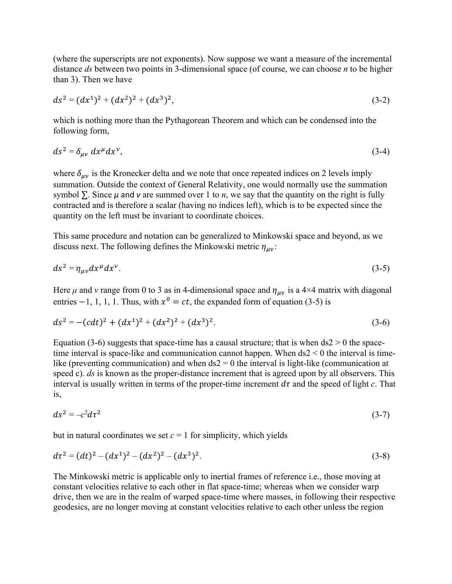(where the superscripts are not exponents). Now suppose we want a measure of the incremental distance *ds* between two points in 3-dimensional space (of course, we can choose *n* to be higher than 3). Then we have

$$
ds^2 = (dx^1)^2 + (dx^2)^2 + (dx^3)^2,
$$
\n(3-2)

which is nothing more than the Pythagorean Theorem and which can be condensed into the following form,

$$
ds^2 = \delta_{\mu\nu} dx^{\mu} dx^{\nu},\tag{3-4}
$$

where  $\delta_{\mu\nu}$  is the Kronecker delta and we note that once repeated indices on 2 levels imply summation. Outside the context of General Relativity, one would normally use the summation symbol  $\Sigma$ . Since  $\mu$  and  $\nu$  are summed over 1 to *n*, we say that the quantity on the right is fully contracted and is therefore a scalar (having no indices left), which is to be expected since the quantity on the left must be invariant to coordinate choices.

This same procedure and notation can be generalized to Minkowski space and beyond, as we discuss next. The following defines the Minkowski metric  $\eta_{\mu\nu}$ :

$$
ds^2 = \eta_{\mu\nu} dx^\mu dx^\nu. \tag{3-5}
$$

Here  $\mu$  and  $\nu$  range from 0 to 3 as in 4-dimensional space and  $\eta_{\mu\nu}$  is a 4×4 matrix with diagonal entries  $-1$ , 1, 1, 1. Thus, with  $x^0 = ct$ , the expanded form of equation (3-5) is

$$
ds^{2} = -(cdt)^{2} + (dx^{1})^{2} + (dx^{2})^{2} + (dx^{3})^{2}.
$$
\n(3-6)

Equation (3-6) suggests that space-time has a causal structure; that is when  $ds2 > 0$  the spacetime interval is space-like and communication cannot happen. When  $ds2 < 0$  the interval is timelike (preventing communication) and when  $ds2 = 0$  the interval is light-like (communication at speed c). *ds* is known as the proper-distance increment that is agreed upon by all observers. This interval is usually written in terms of the proper-time increment  $d\tau$  and the speed of light  $c$ . That is,

$$
ds^2 = -c^2 d\tau^2 \tag{3-7}
$$

but in natural coordinates we set  $c = 1$  for simplicity, which yields

$$
d\tau^2 = (dt)^2 - (dx^1)^2 - (dx^2)^2 - (dx^3)^2. \tag{3-8}
$$

The Minkowski metric is applicable only to inertial frames of reference i.e., those moving at constant velocities relative to each other in flat space-time; whereas when we consider warp drive, then we are in the realm of warped space-time where masses, in following their respective geodesics, are no longer moving at constant velocities relative to each other unless the region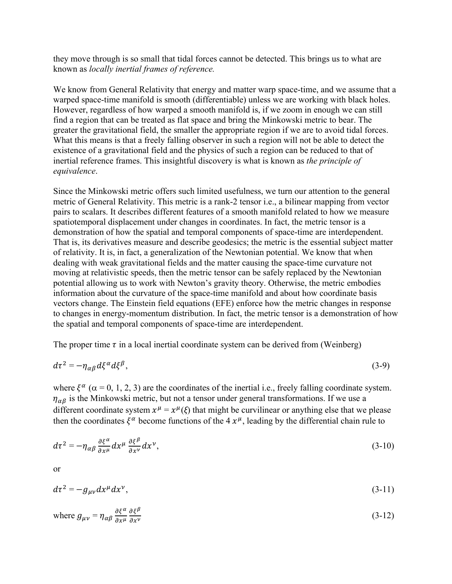they move through is so small that tidal forces cannot be detected. This brings us to what are known as *locally inertial frames of reference.*

We know from General Relativity that energy and matter warp space-time, and we assume that a warped space-time manifold is smooth (differentiable) unless we are working with black holes. However, regardless of how warped a smooth manifold is, if we zoom in enough we can still find a region that can be treated as flat space and bring the Minkowski metric to bear. The greater the gravitational field, the smaller the appropriate region if we are to avoid tidal forces. What this means is that a freely falling observer in such a region will not be able to detect the existence of a gravitational field and the physics of such a region can be reduced to that of inertial reference frames. This insightful discovery is what is known as *the principle of equivalence*.

Since the Minkowski metric offers such limited usefulness, we turn our attention to the general metric of General Relativity. This metric is a rank-2 tensor i.e., a bilinear mapping from vector pairs to scalars. It describes different features of a smooth manifold related to how we measure spatiotemporal displacement under changes in coordinates. In fact, the metric tensor is a demonstration of how the spatial and temporal components of space-time are interdependent. That is, its derivatives measure and describe geodesics; the metric is the essential subject matter of relativity. It is, in fact, a generalization of the Newtonian potential. We know that when dealing with weak gravitational fields and the matter causing the space-time curvature not moving at relativistic speeds, then the metric tensor can be safely replaced by the Newtonian potential allowing us to work with Newton's gravity theory. Otherwise, the metric embodies information about the curvature of the space-time manifold and about how coordinate basis vectors change. The Einstein field equations (EFE) enforce how the metric changes in response to changes in energy-momentum distribution. In fact, the metric tensor is a demonstration of how the spatial and temporal components of space-time are interdependent.

The proper time  $\tau$  in a local inertial coordinate system can be derived from (Weinberg)

$$
d\tau^2 = -\eta_{\alpha\beta} d\xi^{\alpha} d\xi^{\beta},\tag{3-9}
$$

where  $\xi^{\alpha}$  ( $\alpha = 0, 1, 2, 3$ ) are the coordinates of the inertial i.e., freely falling coordinate system.  $\eta_{\alpha\beta}$  is the Minkowski metric, but not a tensor under general transformations. If we use a different coordinate system  $x^{\mu} = x^{\mu}(\xi)$  that might be curvilinear or anything else that we please then the coordinates  $\xi^{\alpha}$  become functions of the 4  $x^{\mu}$ , leading by the differential chain rule to

$$
d\tau^2 = -\eta_{\alpha\beta} \frac{\partial \xi^{\alpha}}{\partial x^{\mu}} dx^{\mu} \frac{\partial \xi^{\beta}}{\partial x^{\nu}} dx^{\nu}, \tag{3-10}
$$

or

$$
d\tau^2 = -g_{\mu\nu}dx^{\mu}dx^{\nu},\tag{3-11}
$$

where 
$$
g_{\mu\nu} = \eta_{\alpha\beta} \frac{\partial \xi^{\alpha}}{\partial x^{\mu}} \frac{\partial \xi^{\beta}}{\partial x^{\nu}}
$$
 (3-12)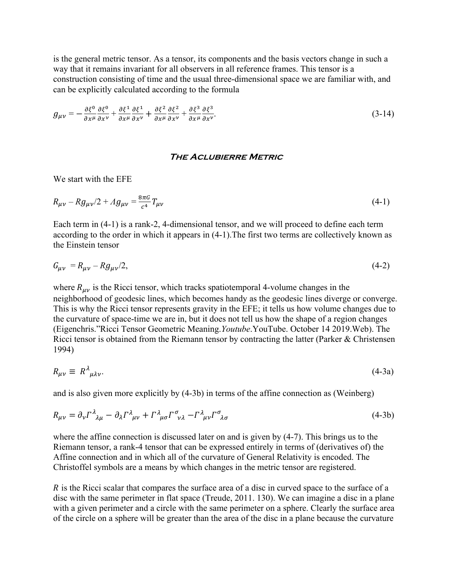is the general metric tensor. As a tensor, its components and the basis vectors change in such a way that it remains invariant for all observers in all reference frames. This tensor is a construction consisting of time and the usual three-dimensional space we are familiar with, and can be explicitly calculated according to the formula

$$
g_{\mu\nu} = -\frac{\partial \xi^0}{\partial x^\mu} \frac{\partial \xi^0}{\partial x^\nu} + \frac{\partial \xi^1}{\partial x^\mu} \frac{\partial \xi^1}{\partial x^\nu} + \frac{\partial \xi^2}{\partial x^\mu} \frac{\partial \xi^2}{\partial x^\nu} + \frac{\partial \xi^3}{\partial x^\mu} \frac{\partial \xi^3}{\partial x^\nu}.
$$
(3-14)

#### **The Aclubierre Metric**

We start with the EFE

$$
R_{\mu\nu} - Rg_{\mu\nu}/2 + Ag_{\mu\nu} = \frac{8\pi G}{c^4} T_{\mu\nu}
$$
\n(4-1)

Each term in (4-1) is a rank-2, 4-dimensional tensor, and we will proceed to define each term according to the order in which it appears in (4-1).The first two terms are collectively known as the Einstein tensor

$$
G_{\mu\nu} = R_{\mu\nu} - Rg_{\mu\nu}/2,\tag{4-2}
$$

where  $R_{\mu\nu}$  is the Ricci tensor, which tracks spatiotemporal 4-volume changes in the neighborhood of geodesic lines, which becomes handy as the geodesic lines diverge or converge. This is why the Ricci tensor represents gravity in the EFE; it tells us how volume changes due to the curvature of space-time we are in, but it does not tell us how the shape of a region changes (Eigenchris."Ricci Tensor Geometric Meaning.*Youtube*.YouTube. October 14 2019.Web). The Ricci tensor is obtained from the Riemann tensor by contracting the latter (Parker & Christensen 1994)

$$
R_{\mu\nu} \equiv R^{\lambda}{}_{\mu\lambda\nu}.
$$
\n(4-3a)

and is also given more explicitly by (4-3b) in terms of the affine connection as (Weinberg)

$$
R_{\mu\nu} = \partial_{\nu} \Gamma^{\lambda}_{\ \lambda\mu} - \partial_{\lambda} \Gamma^{\lambda}_{\ \mu\nu} + \Gamma^{\lambda}_{\ \mu\sigma} \Gamma^{\sigma}_{\ \nu\lambda} - \Gamma^{\lambda}_{\ \mu\nu} \Gamma^{\sigma}_{\ \lambda\sigma} \tag{4-3b}
$$

where the affine connection is discussed later on and is given by (4-7). This brings us to the Riemann tensor, a rank-4 tensor that can be expressed entirely in terms of (derivatives of) the Affine connection and in which all of the curvature of General Relativity is encoded. The Christoffel symbols are a means by which changes in the metric tensor are registered.

 $\overline{R}$  is the Ricci scalar that compares the surface area of a disc in curved space to the surface of a disc with the same perimeter in flat space (Treude, 2011. 130). We can imagine a disc in a plane with a given perimeter and a circle with the same perimeter on a sphere. Clearly the surface area of the circle on a sphere will be greater than the area of the disc in a plane because the curvature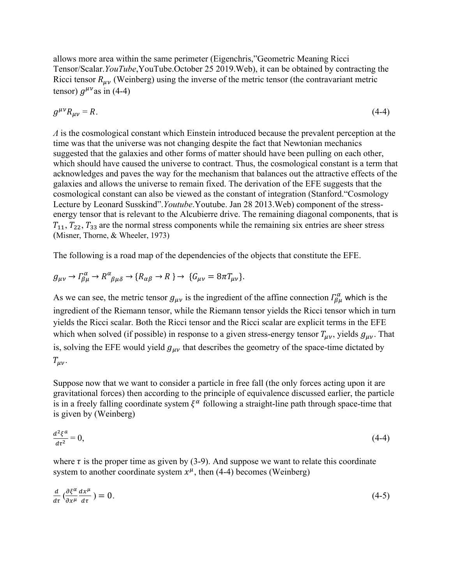allows more area within the same perimeter (Eigenchris,"Geometric Meaning Ricci Tensor/Scalar.*YouTube*,YouTube.October 25 2019.Web), it can be obtained by contracting the Ricci tensor  $R_{\mu\nu}$  (Weinberg) using the inverse of the metric tensor (the contravariant metric tensor)  $q^{\mu\nu}$ as in (4-4)

$$
g^{\mu\nu}R_{\mu\nu} = R. \tag{4-4}
$$

*Λ* is the cosmological constant which Einstein introduced because the prevalent perception at the time was that the universe was not changing despite the fact that Newtonian mechanics suggested that the galaxies and other forms of matter should have been pulling on each other, which should have caused the universe to contract. Thus, the cosmological constant is a term that acknowledges and paves the way for the mechanism that balances out the attractive effects of the galaxies and allows the universe to remain fixed. The derivation of the EFE suggests that the cosmological constant can also be viewed as the constant of integration (Stanford."Cosmology Lecture by Leonard Susskind".*Youtube*.Youtube. Jan 28 2013.Web) component of the stressenergy tensor that is relevant to the Alcubierre drive. The remaining diagonal components, that is  $T_{11}$ ,  $T_{22}$ ,  $T_{33}$  are the normal stress components while the remaining six entries are sheer stress (Misner, Thorne, & Wheeler, 1973)

The following is a road map of the dependencies of the objects that constitute the EFE.

$$
g_{\mu\nu} \to \Gamma^{\alpha}_{\beta\mu} \to R^{\alpha}_{\ \beta\mu\delta} \to \{R_{\alpha\beta} \to R\} \to \{G_{\mu\nu} = 8\pi T_{\mu\nu}\}.
$$

As we can see, the metric tensor  $g_{\mu\nu}$  is the ingredient of the affine connection  $\int_{\beta\mu}^{\alpha}$  which is the ingredient of the Riemann tensor, while the Riemann tensor yields the Ricci tensor which in turn yields the Ricci scalar. Both the Ricci tensor and the Ricci scalar are explicit terms in the EFE which when solved (if possible) in response to a given stress-energy tensor  $T_{\mu\nu}$ , yields  $g_{\mu\nu}$ . That is, solving the EFE would yield  $g_{\mu\nu}$  that describes the geometry of the space-time dictated by  $T_{\mu\nu}$ .

Suppose now that we want to consider a particle in free fall (the only forces acting upon it are gravitational forces) then according to the principle of equivalence discussed earlier, the particle is in a freely falling coordinate system  $\xi^{\alpha}$  following a straight-line path through space-time that is given by (Weinberg)

$$
\frac{d^2\xi^a}{d\tau^2} = 0,\tag{4-4}
$$

where  $\tau$  is the proper time as given by (3-9). And suppose we want to relate this coordinate system to another coordinate system  $x^{\mu}$ , then (4-4) becomes (Weinberg)

$$
\frac{d}{d\tau}\left(\frac{\partial\xi^{\alpha}}{\partial x^{\mu}}\frac{dx^{\mu}}{d\tau}\right)=0.\tag{4-5}
$$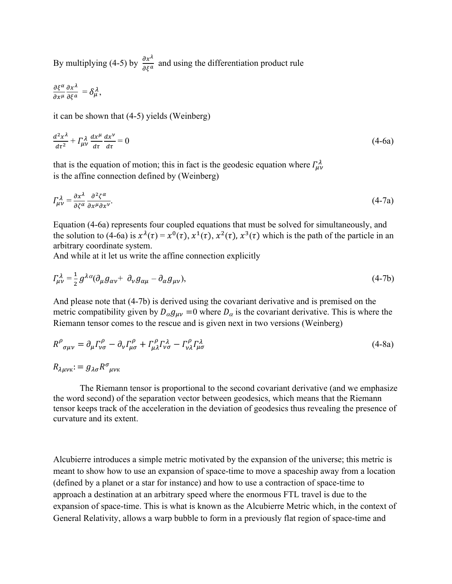By multiplying (4-5) by  $\frac{\partial x^{\lambda}}{\partial \xi^a}$  and using the differentiation product rule

$$
\frac{\partial \xi^{\alpha}}{\partial x^{\mu}} \frac{\partial x^{\lambda}}{\partial \xi^{\alpha}} = \delta^{\lambda}_{\mu},
$$

it can be shown that (4-5) yields (Weinberg)

$$
\frac{d^2x^{\lambda}}{dt^2} + \Gamma^{\lambda}_{\mu\nu}\frac{dx^{\mu}}{dt}\frac{dx^{\nu}}{dt} = 0
$$
\n(4-6a)

that is the equation of motion; this in fact is the geodesic equation where  $\Gamma^{\lambda}_{\mu\nu}$ is the affine connection defined by (Weinberg)

$$
\Gamma^{\lambda}_{\mu\nu} = \frac{\partial x^{\lambda}}{\partial \zeta^{\alpha}} \frac{\partial^2 \zeta^{\alpha}}{\partial x^{\mu} \partial x^{\nu}}.
$$
\n(4-7a)

Equation (4-6a) represents four coupled equations that must be solved for simultaneously, and the solution to (4-6a) is  $x^{\lambda}(\tau) = x^{0}(\tau)$ ,  $x^{1}(\tau)$ ,  $x^{2}(\tau)$ ,  $x^{3}(\tau)$  which is the path of the particle in an arbitrary coordinate system.

And while at it let us write the affine connection explicitly

$$
\Gamma^{\lambda}_{\mu\nu} = \frac{1}{2} g^{\lambda\alpha} (\partial_{\mu} g_{\alpha\nu} + \partial_{\nu} g_{\alpha\mu} - \partial_{\alpha} g_{\mu\nu}), \qquad (4-7b)
$$

And please note that (4-7b) is derived using the covariant derivative and is premised on the metric compatibility given by  $D_{\alpha}g_{\mu\nu} = 0$  where  $D_{\alpha}$  is the covariant derivative. This is where the Riemann tensor comes to the rescue and is given next in two versions (Weinberg)

$$
R^{\rho}_{\ \sigma\mu\nu} = \partial_{\mu} \Gamma^{\rho}_{\nu\sigma} - \partial_{\nu} \Gamma^{\rho}_{\mu\sigma} + \Gamma^{\rho}_{\mu\lambda} \Gamma^{\lambda}_{\nu\sigma} - \Gamma^{\rho}_{\nu\lambda} \Gamma^{\lambda}_{\mu\sigma}
$$
\n(4-8a)

 $R_{\lambda u v K}$ :  $= g_{\lambda \sigma} R^{\sigma}_{\mu v K}$ 

The Riemann tensor is proportional to the second covariant derivative (and we emphasize the word second) of the separation vector between geodesics, which means that the Riemann tensor keeps track of the acceleration in the deviation of geodesics thus revealing the presence of curvature and its extent.

Alcubierre introduces a simple metric motivated by the expansion of the universe; this metric is meant to show how to use an expansion of space-time to move a spaceship away from a location (defined by a planet or a star for instance) and how to use a contraction of space-time to approach a destination at an arbitrary speed where the enormous FTL travel is due to the expansion of space-time. This is what is known as the Alcubierre Metric which, in the context of General Relativity, allows a warp bubble to form in a previously flat region of space-time and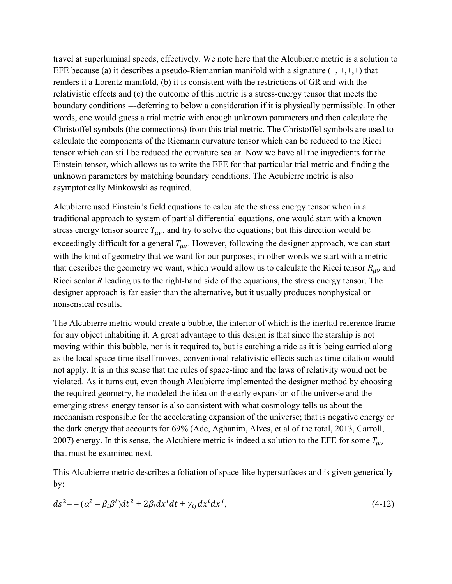travel at superluminal speeds, effectively. We note here that the Alcubierre metric is a solution to EFE because (a) it describes a pseudo-Riemannian manifold with a signature  $(-, +, +, +)$  that renders it a Lorentz manifold, (b) it is consistent with the restrictions of GR and with the relativistic effects and (c) the outcome of this metric is a stress-energy tensor that meets the boundary conditions ---deferring to below a consideration if it is physically permissible. In other words, one would guess a trial metric with enough unknown parameters and then calculate the Christoffel symbols (the connections) from this trial metric. The Christoffel symbols are used to calculate the components of the Riemann curvature tensor which can be reduced to the Ricci tensor which can still be reduced the curvature scalar. Now we have all the ingredients for the Einstein tensor, which allows us to write the EFE for that particular trial metric and finding the unknown parameters by matching boundary conditions. The Acubierre metric is also asymptotically Minkowski as required.

Alcubierre used Einstein's field equations to calculate the stress energy tensor when in a traditional approach to system of partial differential equations, one would start with a known stress energy tensor source  $T_{uv}$ , and try to solve the equations; but this direction would be exceedingly difficult for a general  $T_{\mu\nu}$ . However, following the designer approach, we can start with the kind of geometry that we want for our purposes; in other words we start with a metric that describes the geometry we want, which would allow us to calculate the Ricci tensor  $R_{\mu\nu}$  and Ricci scalar *R* leading us to the right-hand side of the equations, the stress energy tensor. The designer approach is far easier than the alternative, but it usually produces nonphysical or nonsensical results.

The Alcubierre metric would create a bubble, the interior of which is the inertial reference frame for any object inhabiting it. A great advantage to this design is that since the starship is not moving within this bubble, nor is it required to, but is catching a ride as it is being carried along as the local space-time itself moves, conventional relativistic effects such as time dilation would not apply. It is in this sense that the rules of space-time and the laws of relativity would not be violated. As it turns out, even though Alcubierre implemented the designer method by choosing the required geometry, he modeled the idea on the early expansion of the universe and the emerging stress-energy tensor is also consistent with what cosmology tells us about the mechanism responsible for the accelerating expansion of the universe; that is negative energy or the dark energy that accounts for 69% (Ade, Aghanim, Alves, et al of the total, 2013, Carroll, 2007) energy. In this sense, the Alcubiere metric is indeed a solution to the EFE for some  $T_{\mu\nu}$ that must be examined next.

This Alcubierre metric describes a foliation of space-like hypersurfaces and is given generically by:

$$
ds^{2} = -(\alpha^{2} - \beta_{i}\beta^{i})dt^{2} + 2\beta_{i}dx^{i}dt + \gamma_{ij}dx^{i}dx^{j}, \qquad (4-12)
$$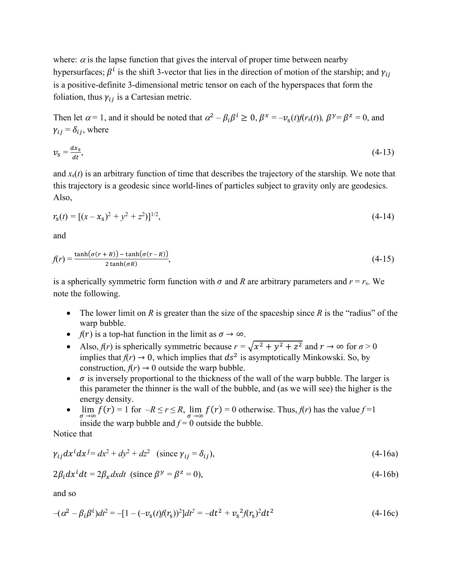where:  $\alpha$  is the lapse function that gives the interval of proper time between nearby hypersurfaces;  $\beta^i$  is the shift 3-vector that lies in the direction of motion of the starship; and  $\gamma_{ij}$ is a positive-definite 3-dimensional metric tensor on each of the hyperspaces that form the foliation, thus  $\gamma_{ij}$  is a Cartesian metric.

Then let  $\alpha = 1$ , and it should be noted that  $\alpha^2 - \beta_i \beta^i \ge 0$ ,  $\beta^x = -\nu_s(t) f(r_s(t))$ ,  $\beta^y = \beta^z = 0$ , and  $\gamma_{ij} = \delta_{ij}$ , where

$$
v_{\rm s} = \frac{dx_{\rm s}}{dt},\tag{4-13}
$$

and  $x<sub>s</sub>(t)$  is an arbitrary function of time that describes the trajectory of the starship. We note that this trajectory is a geodesic since world-lines of particles subject to gravity only are geodesics. Also,

$$
r_{s}(t) = [(x - x_{s})^{2} + y^{2} + z^{2})]^{1/2},
$$
\n(4-14)

and

$$
f(r) = \frac{\tanh(\sigma(r+R)) - \tanh(\sigma(r-R))}{2\tanh(\sigma R)},
$$
\n(4-15)

is a spherically symmetric form function with  $\sigma$  and *R* are arbitrary parameters and  $r = r_s$ . We note the following.

- The lower limit on *R* is greater than the size of the spaceship since *R* is the "radius" of the warp bubble.
- *f*(*r*) is a top-hat function in the limit as  $\sigma \to \infty$ .
- Also,  $f(r)$  is spherically symmetric because  $r = \sqrt{x^2 + y^2 + z^2}$  and  $r \to \infty$  for  $\sigma > 0$ implies that  $f(r) \to 0$ , which implies that  $ds^2$  is asymptotically Minkowski. So, by construction,  $f(r) \rightarrow 0$  outside the warp bubble.
- $\bullet$   $\sigma$  is inversely proportional to the thickness of the wall of the warp bubble. The larger is this parameter the thinner is the wall of the bubble, and (as we will see) the higher is the energy density.
- $\lim_{\sigma \to \infty} f(r) = 1$  for  $-R \le r \le R$ ,  $\lim_{\sigma \to \infty} f(r) = 0$  otherwise. Thus,  $f(r)$  has the value  $f=1$ inside the warp bubble and  $f = 0$  outside the bubble.

Notice that

$$
\gamma_{ij} dx^i dx^j = dx^2 + dy^2 + dz^2 \quad \text{(since } \gamma_{ij} = \delta_{ij}\text{)},\tag{4-16a}
$$

$$
2\beta_i dx^i dt = 2\beta_x dx dt \text{ (since } \beta^y = \beta^z = 0\text{)},\tag{4-16b}
$$

and so

$$
-(\alpha^2 - \beta_i \beta^i)dt^2 = -[1 - (-\nu_s(t)f(r_s))^2]dt^2 = -dt^2 + \nu_s^2 f(r_s)^2 dt^2
$$
\n(4-16c)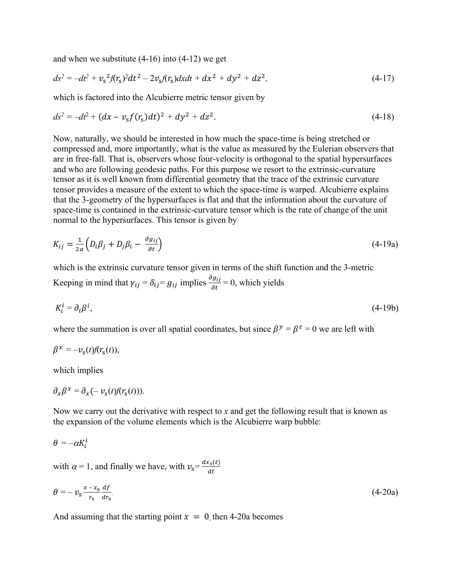and when we substitute (4-16) into (4-12) we get

$$
ds^{2} = -dt^{2} + v_{s}^{2}f(r_{s})^{2}dt^{2} - 2v_{s}f(r_{s})dxdt + dx^{2} + dy^{2} + dz^{2},
$$
\n(4-17)

which is factored into the Alcubierre metric tensor given by

$$
ds^{2} = -dt^{2} + (dx - v_{s}f(r_{s})dt)^{2} + dy^{2} + dz^{2}. \qquad (4-18)
$$

Now, naturally, we should be interested in how much the space-time is being stretched or compressed and, more importantly, what is the value as measured by the Eulerian observers that are in free-fall. That is, observers whose four-velocity is orthogonal to the spatial hypersurfaces and who are following geodesic paths. For this purpose we resort to the extrinsic-curvature tensor as it is well known from differential geometry that the trace of the extrinsic curvature tensor provides a measure of the extent to which the space-time is warped. Alcubierre explains that the 3-geometry of the hypersurfaces is flat and that the information about the curvature of space-time is contained in the extrinsic-curvature tensor which is the rate of change of the unit normal to the hypersurfaces. This tensor is given by

$$
K_{ij} = \frac{1}{2\alpha} \left( D_i \beta_j + D_j \beta_i - \frac{\partial g_{ij}}{\partial t} \right) \tag{4-19a}
$$

which is the extrinsic curvature tensor given in terms of the shift function and the 3-metric Keeping in mind that  $\gamma_{ij} = \delta_{ij} = g_{ij}$  implies  $\frac{\partial g_{ij}}{\partial t} = 0$ , which yields

$$
K_i^i = \partial_i \beta^i,\tag{4-19b}
$$

where the summation is over all spatial coordinates, but since  $\beta^y = \beta^z = 0$  we are left with

$$
\beta^x = -v_s(t)f(r_s(t)),
$$

which implies

$$
\partial_x \beta^x = \partial_x (-v_s(t) f(r_s(t))).
$$

Now we carry out the derivative with respect to *x* and get the following result that is known as the expansion of the volume elements which is the Alcubierre warp bubble:

$$
\theta=-\alpha K_i^i
$$

with  $\alpha = 1$ , and finally we have, with  $v_s = \frac{dx_s(t)}{dt}$  $dt$ 

$$
\theta = -\upsilon_{\rm s} \frac{x - x_{\rm s}}{r_{\rm s}} \frac{df}{dr_{\rm s}}.\tag{4-20a}
$$

And assuming that the starting point  $x = 0$ , then 4-20a becomes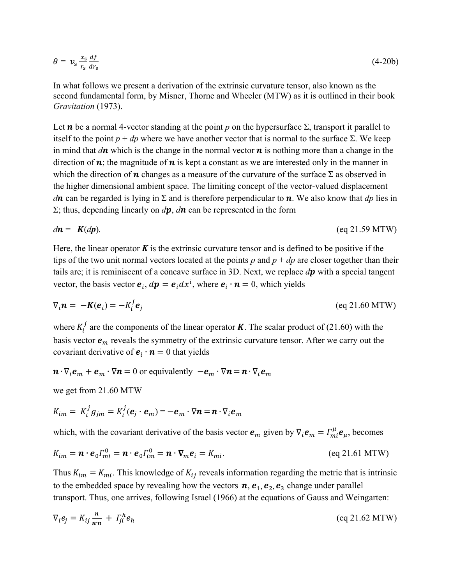$$
\theta = v_s \frac{x_s}{r_s} \frac{df}{dr_s} \tag{4-20b}
$$

In what follows we present a derivation of the extrinsic curvature tensor, also known as the second fundamental form, by Misner, Thorne and Wheeler (MTW) as it is outlined in their book *Gravitation* (1973).

Let  $\bm{n}$  be a normal 4-vector standing at the point  $p$  on the hypersurface  $\Sigma$ , transport it parallel to itself to the point  $p + dp$  where we have another vector that is normal to the surface  $\Sigma$ . We keep in mind that  $d\mathbf{n}$  which is the change in the normal vector  $\mathbf{n}$  is nothing more than a change in the direction of  $\boldsymbol{n}$ ; the magnitude of  $\boldsymbol{n}$  is kept a constant as we are interested only in the manner in which the direction of  $n$  changes as a measure of the curvature of the surface  $\Sigma$  as observed in the higher dimensional ambient space. The limiting concept of the vector-valued displacement *d***n** can be regarded is lying in  $\Sigma$  and is therefore perpendicular to **n**. We also know that *dp* lies in  $\Sigma$ ; thus, depending linearly on  $d\mathbf{p}$ ,  $d\mathbf{n}$  can be represented in the form

$$
d\mathbf{n} = -\mathbf{K}(dp). \tag{eq 21.59 MTW}
$$

Here, the linear operator  $K$  is the extrinsic curvature tensor and is defined to be positive if the tips of the two unit normal vectors located at the points  $p$  and  $p + dp$  are closer together than their tails are; it is reminiscent of a concave surface in 3D. Next, we replace  $dp$  with a special tangent vector, the basis vector  $e_i$ ,  $d\mathbf{p} = e_i dx^i$ , where  $e_i \cdot \mathbf{n} = 0$ , which yields

$$
\nabla_i \mathbf{n} = -\mathbf{K}(\mathbf{e}_i) = -K_i^j \mathbf{e}_j \tag{eq 21.60 MTW}
$$

where  $K_i^j$  are the components of the linear operator **K**. The scalar product of (21.60) with the basis vector  $e_m$  reveals the symmetry of the extrinsic curvature tensor. After we carry out the covariant derivative of  $e_i \cdot n = 0$  that yields

 $\mathbf{n} \cdot \nabla_i \mathbf{e}_m + \mathbf{e}_m \cdot \nabla \mathbf{n} = 0$  or equivalently  $-\mathbf{e}_m \cdot \nabla \mathbf{n} = \mathbf{n} \cdot \nabla_i \mathbf{e}_m$ 

we get from 21.60 MTW

$$
K_{im} = K_i^j g_{jm} = K_i^j(e_j \cdot e_m) = -e_m \cdot \nabla n = n \cdot \nabla_i e_m
$$

which, with the covariant derivative of the basis vector  $e_m$  given by  $\nabla_i e_m = \Gamma^{\mu}_{mi} e_{\mu}$ , becomes

$$
K_{im} = \boldsymbol{n} \cdot \boldsymbol{e}_0 \Gamma_{mi}^0 = \boldsymbol{n} \cdot \boldsymbol{e}_0 \Gamma_{im}^0 = \boldsymbol{n} \cdot \nabla_m \boldsymbol{e}_i = K_{mi}.
$$
 (eq 21.61 MTW)

Thus  $K_{im} = K_{mi}$ . This knowledge of  $K_{ij}$  reveals information regarding the metric that is intrinsic to the embedded space by revealing how the vectors  $n, e_1, e_2, e_3$  change under parallel transport. Thus, one arrives, following Israel (1966) at the equations of Gauss and Weingarten:

$$
\nabla_i e_j = K_{ij} \frac{n}{n \cdot n} + \Gamma_{ji}^h e_h \tag{eq 21.62 MTW}
$$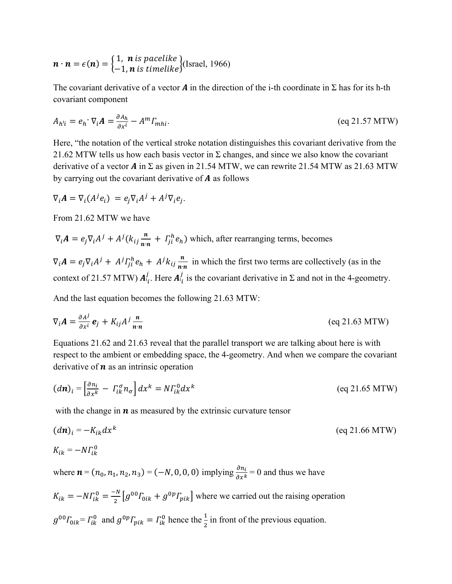$$
\boldsymbol{n} \cdot \boldsymbol{n} = \epsilon(\boldsymbol{n}) = \begin{cases} 1, & \text{if } \text{pacelike} \\ -1, & \text{if } \text{timelike} \end{cases} \text{(Israel, 1966)}
$$

The covariant derivative of a vector **A** in the direction of the i-th coordinate in  $\Sigma$  has for its h-th covariant component

$$
A_{h'i} = e_h \cdot \nabla_i A = \frac{\partial A_h}{\partial x^i} - A^m \Gamma_{mhi}.
$$
 (eq 21.57 MTW)

Here, "the notation of the vertical stroke notation distinguishes this covariant derivative from the 21.62 MTW tells us how each basis vector in  $\Sigma$  changes, and since we also know the covariant derivative of a vector  $\vec{A}$  in  $\Sigma$  as given in 21.54 MTW, we can rewrite 21.54 MTW as 21.63 MTW by carrying out the covariant derivative of  $\boldsymbol{A}$  as follows

$$
\nabla_i \mathbf{A} = \nabla_i (A^j e_i) = e_j \nabla_i A^j + A^j \nabla_i e_j.
$$

From 21.62 MTW we have

$$
\nabla_i \mathbf{A} = e_j \nabla_i A^j + A^j (k_{ij} \frac{\mathbf{n}}{\mathbf{n} \cdot \mathbf{n}} + I_{ji}^h e_h)
$$
 which, after rearranging terms, becomes

 $\nabla_i \mathbf{A} = e_j \nabla_i A^j + A^j \Gamma_{ji}^h e_h + A^j k_{ij} \frac{\mathbf{n}}{\mathbf{n} \cdot \mathbf{n}}$  $\frac{n}{n n}$  in which the first two terms are collectively (as in the context of 21.57 MTW)  $A_{i_l}^j$ . Here  $A_{i_l}^j$  is the covariant derivative in  $\Sigma$  and not in the 4-geometry.

And the last equation becomes the following 21.63 MTW:

$$
\nabla_i \mathbf{A} = \frac{\partial A^j}{\partial x^i} \mathbf{e}_j + K_{ij} A^j \frac{\mathbf{n}}{\mathbf{n} \cdot \mathbf{n}} \tag{eq 21.63 MTW}
$$

Equations 21.62 and 21.63 reveal that the parallel transport we are talking about here is with respect to the ambient or embedding space, the 4-geometry. And when we compare the covariant derivative of  $\boldsymbol{n}$  as an intrinsic operation

$$
(d\boldsymbol{n})_i = \left[\frac{\partial n_i}{\partial x^k} - \Gamma_{ik}^\sigma n_\sigma\right] dx^k = N \Gamma_{ik}^0 dx^k
$$
 (eq 21.65 MTW)

with the change in  $\boldsymbol{n}$  as measured by the extrinsic curvature tensor

$$
(d\mathbf{n})_i = -K_{ik} dx^k
$$
 (eq 21.66 MTW)  

$$
K_{ik} = -N\Gamma_{ik}^0
$$

where  $\mathbf{n} = (n_0, n_1, n_2, n_3) = (-N, 0, 0, 0)$  implying  $\frac{\partial n_i}{\partial x^k} = 0$  and thus we have

 $K_{ik} = -N\Gamma_{ik}^0 = \frac{-N}{2} \left[ g^{00} \Gamma_{0ik} + g^{0p} \Gamma_{pik} \right]$  where we carried out the raising operation  $g^{00} \Gamma_{0ik} = \Gamma_{ik}^0$  and  $g^{0p} \Gamma_{pik} = \Gamma_{ik}^0$  hence the  $\frac{1}{2}$  in front of the previous equation.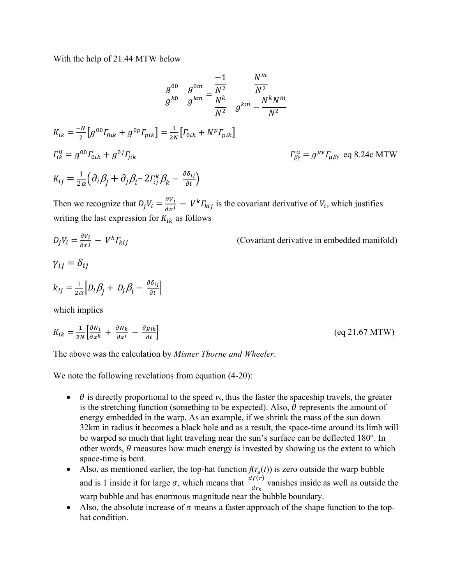With the help of 21.44 MTW below

$$
g^{00} \t g^{0m} = \frac{-1}{N^2} \t M^2
$$
  
\n
$$
g^{k0} \t g^{km} = \frac{1}{N^2} \t M^2
$$
  
\n
$$
K_{ik} = \frac{-N}{2} [g^{00} \Gamma_{0ik} + g^{0p} \Gamma_{pik}] = \frac{1}{2N} [\Gamma_{0ik} + N^p \Gamma_{pik}]
$$
  
\n
$$
\Gamma_{ik}^0 = g^{00} \Gamma_{0ik} + g^{0j} \Gamma_{jik}
$$
  
\n
$$
K_{ij} = \frac{1}{2\alpha} (\partial_i \beta_j + \partial_j \beta_i - 2\Gamma_{ij}^k \beta_k - \frac{\partial \delta_{ij}}{\partial t})
$$
  
\n
$$
K_{ij} = \frac{1}{2\alpha} (\partial_i \beta_j + \partial_j \beta_i - 2\Gamma_{ij}^k \beta_k - \frac{\partial \delta_{ij}}{\partial t})
$$

Then we recognize that  $D_j V_i = \frac{\partial V_i}{\partial x^j} - V^k \Gamma_{kij}$  is the covariant derivative of  $V_i$ , which justifies writing the last expression for  $K_{ik}$  as follows

$$
D_j V_i = \frac{\partial v_i}{\partial x^j} - V^k \Gamma_{kij}
$$
 (Covariant derivative in embedded manifold)  
\n
$$
\gamma_{ij} = \delta_{ij}
$$
  
\n
$$
k_{ij} = \frac{1}{2\alpha} \Big[ D_i \beta_j + D_j \beta_i - \frac{\partial \delta_{ij}}{\partial t} \Big]
$$
  
\nwhich implies  
\n
$$
K_{ik} = \frac{1}{2N} \Big[ \frac{\partial N_i}{\partial x^k} + \frac{\partial N_k}{\partial x^i} - \frac{\partial g_{ik}}{\partial t} \Big]
$$
 (eq 21.67 MTW)

The above was the calculation by *Misner Thorne and Wheeler*.

We note the following revelations from equation  $(4-20)$ :

- $\bullet$   $\theta$  is directly proportional to the speed  $v_s$ , thus the faster the spaceship travels, the greater is the stretching function (something to be expected). Also,  $\theta$  represents the amount of energy embedded in the warp. As an example, if we shrink the mass of the sun down 32km in radius it becomes a black hole and as a result, the space-time around its limb will be warped so much that light traveling near the sun's surface can be deflected 180°. In other words,  $\theta$  measures how much energy is invested by showing us the extent to which space-time is bent.
- Also, as mentioned earlier, the top-hat function  $f(r_s(t))$  is zero outside the warp bubble and is 1 inside it for large  $\sigma$ , which means that  $\frac{df(r)}{dr_s}$  vanishes inside as well as outside the warp bubble and has enormous magnitude near the bubble boundary.
- Also, the absolute increase of  $\sigma$  means a faster approach of the shape function to the tophat condition.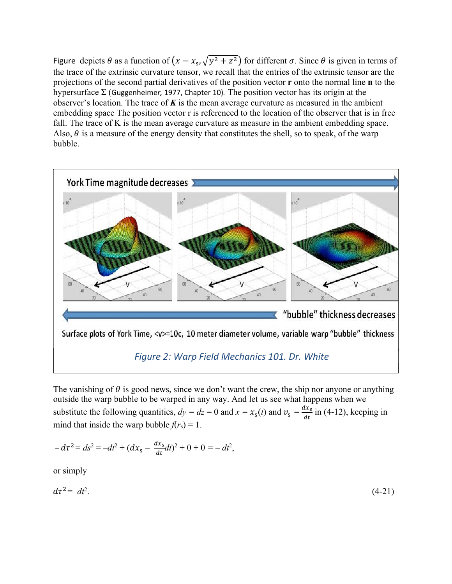Figure depicts  $\theta$  as a function of  $(x - x_s, \sqrt{y^2 + z^2})$  for different  $\sigma$ . Since  $\theta$  is given in terms of the trace of the extrinsic curvature tensor, we recall that the entries of the extrinsic tensor are the projections of the second partial derivatives of the position vector **r** onto the normal line **n** to the hypersurface Σ (Guggenheime*r,* 1977, Chapter 10)*.* The position vector has its origin at the observer's location. The trace of *K* is the mean average curvature as measured in the ambient embedding space The position vector r is referenced to the location of the observer that is in free fall. The trace of K is the mean average curvature as measure in the ambient embedding space. Also,  $\theta$  is a measure of the energy density that constitutes the shell, so to speak, of the warp bubble.



Surface plots of York Time, <v>=10c, 10 meter diameter volume, variable warp "bubble" thickness

## *Figure 2: Warp Field Mechanics 101. Dr. White*

The vanishing of  $\theta$  is good news, since we don't want the crew, the ship nor anyone or anything outside the warp bubble to be warped in any way. And let us see what happens when we substitute the following quantities,  $dy = dz = 0$  and  $x = x_s(t)$  and  $v_s = \frac{dx_s}{dt}$  in (4-12), keeping in mind that inside the warp bubble  $f(r_s) = 1$ .

$$
-d\tau^2 = ds^2 = -dt^2 + (dx_s - \frac{dx_s}{dt})^2 + 0 + 0 = -dt^2,
$$

or simply

$$
d\tau^2 = dt^2. \tag{4-21}
$$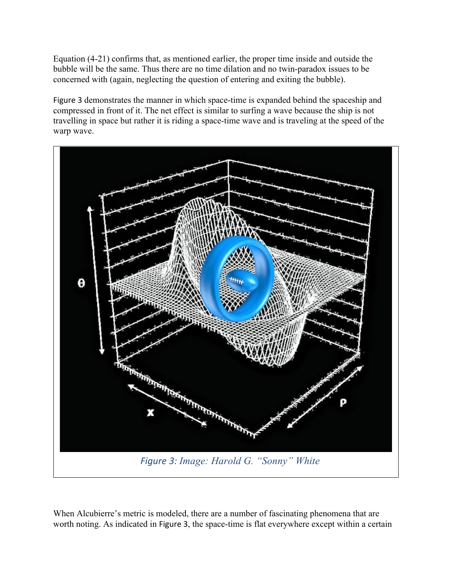Equation (4-21) confirms that, as mentioned earlier, the proper time inside and outside the bubble will be the same. Thus there are no time dilation and no twin-paradox issues to be concerned with (again, neglecting the question of entering and exiting the bubble).

Figure 3 demonstrates the manner in which space-time is expanded behind the spaceship and compressed in front of it. The net effect is similar to surfing a wave because the ship is not travelling in space but rather it is riding a space-time wave and is traveling at the speed of the warp wave.



When Alcubierre's metric is modeled, there are a number of fascinating phenomena that are worth noting. As indicated in Figure 3, the space-time is flat everywhere except within a certain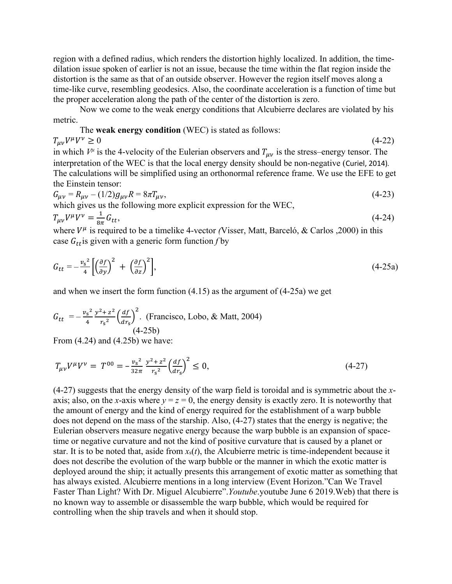region with a defined radius, which renders the distortion highly localized. In addition, the timedilation issue spoken of earlier is not an issue, because the time within the flat region inside the distortion is the same as that of an outside observer. However the region itself moves along a time-like curve, resembling geodesics. Also, the coordinate acceleration is a function of time but the proper acceleration along the path of the center of the distortion is zero.

Now we come to the weak energy conditions that Alcubierre declares are violated by his metric.

The **weak energy condition** (WEC) is stated as follows:  $T_{\mu\nu}V^{\mu}V^{\nu} \ge 0$  (4-22) in which  $V^{\mu}$  is the 4-velocity of the Eulerian observers and  $T_{\mu\nu}$  is the stress–energy tensor. The interpretation of the WEC is that the local energy density should be non-negative (Curiel, 2014)*.* The calculations will be simplified using an orthonormal reference frame. We use the EFE to get the Einstein tensor:

$$
G_{\mu\nu} = R_{\mu\nu} - (1/2)g_{\mu\nu}R = 8\pi T_{\mu\nu},
$$
  
which gives us the following more explicit expression for the WEC, (4-23)

$$
T_{\mu\nu}V^{\mu}\bar{V}^{\nu} = \frac{1}{8\pi}G_{tt},\tag{4-24}
$$

where  $V^{\mu}$  is required to be a timelike 4-vector *(Visser, Matt, Barceló, & Carlos ,2000)* in this case  $G_{tt}$  is given with a generic form function *f* by

$$
G_{tt} = -\frac{v_s^2}{4} \left[ \left( \frac{\partial f}{\partial y} \right)^2 + \left( \frac{\partial f}{\partial z} \right)^2 \right],\tag{4-25a}
$$

and when we insert the form function (4.15) as the argument of (4-25a) we get

$$
G_{tt} = -\frac{v_s^2}{4} \frac{y^2 + z^2}{r_s^2} \left(\frac{df}{dr_s}\right)^2
$$
. (Francisco, Lobo, & Matt, 2004)  
(4-25b)

From  $(4.24)$  and  $(4.25b)$  we have:

$$
T_{\mu\nu}V^{\mu}V^{\nu} = T^{00} = -\frac{v_s^2}{32\pi} \frac{y^2 + z^2}{r_s^2} \left(\frac{df}{dr_s}\right)^2 \le 0,
$$
\n(4-27)

(4-27) suggests that the energy density of the warp field is toroidal and is symmetric about the *x*axis; also, on the *x*-axis where  $y = z = 0$ , the energy density is exactly zero. It is noteworthy that the amount of energy and the kind of energy required for the establishment of a warp bubble does not depend on the mass of the starship. Also, (4-27) states that the energy is negative; the Eulerian observers measure negative energy because the warp bubble is an expansion of spacetime or negative curvature and not the kind of positive curvature that is caused by a planet or star. It is to be noted that, aside from  $x<sub>s</sub>(t)$ , the Alcubierre metric is time-independent because it does not describe the evolution of the warp bubble or the manner in which the exotic matter is deployed around the ship; it actually presents this arrangement of exotic matter as something that has always existed. Alcubierre mentions in a long interview (Event Horizon."Can We Travel Faster Than Light? With Dr. Miguel Alcubierre".*Youtube*.youtube June 6 2019.Web) that there is no known way to assemble or disassemble the warp bubble, which would be required for controlling when the ship travels and when it should stop.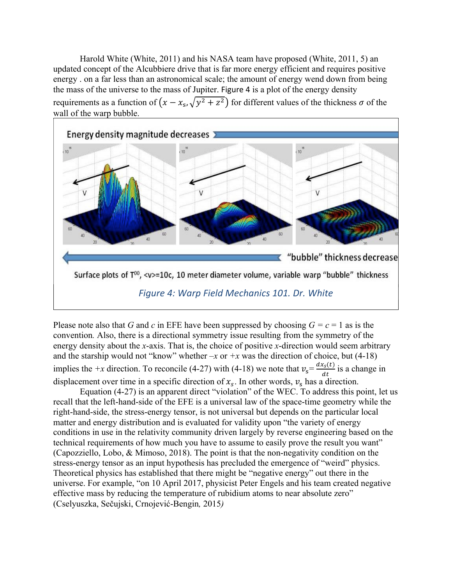Harold White (White, 2011) and his NASA team have proposed (White, 2011, 5) an updated concept of the Alcubbiere drive that is far more energy efficient and requires positive energy . on a far less than an astronomical scale; the amount of energy wend down from being the mass of the universe to the mass of Jupiter. Figure 4 is a plot of the energy density requirements as a function of  $(x - x_s, \sqrt{y^2 + z^2})$  for different values of the thickness  $\sigma$  of the wall of the warp bubble.



*Figure 4: Warp Field Mechanics 101. Dr. White*

Please note also that *G* and *c* in EFE have been suppressed by choosing  $G = c = 1$  as is the convention*.* Also, there is a directional symmetry issue resulting from the symmetry of the energy density about the *x*-axis. That is, the choice of positive *x*-direction would seem arbitrary and the starship would not "know" whether  $-x$  or  $+x$  was the direction of choice, but (4-18) implies the +x direction. To reconcile (4-27) with (4-18) we note that  $v_s = \frac{dx_s(t)}{dt}$  is a change in displacement over time in a specific direction of  $x_s$ . In other words,  $v_s$  has a direction.

Equation (4-27) is an apparent direct "violation" of the WEC. To address this point, let us recall that the left-hand-side of the EFE is a universal law of the space-time geometry while the right-hand-side, the stress-energy tensor, is not universal but depends on the particular local matter and energy distribution and is evaluated for validity upon "the variety of energy conditions in use in the relativity community driven largely by reverse engineering based on the technical requirements of how much you have to assume to easily prove the result you want" (Capozziello, Lobo, & Mimoso, 2018). The point is that the non-negativity condition on the stress-energy tensor as an input hypothesis has precluded the emergence of "weird" physics. Theoretical physics has established that there might be "negative energy" out there in the universe. For example, "on 10 April 2017, physicist Peter Engels and his team created negative effective mass by reducing the temperature of rubidium atoms to near absolute zero" (Cselyuszka, Sečujski, Crnojević-Bengin*,* 2015*)*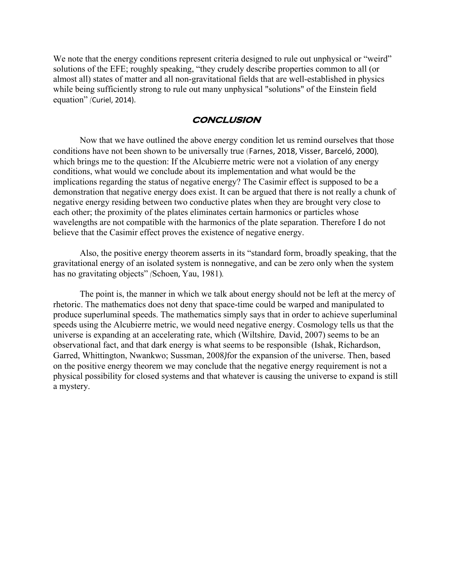We note that the energy conditions represent criteria designed to rule out unphysical or "weird" solutions of the EFE; roughly speaking, "they crudely describe properties common to all (or almost all) states of matter and all non-gravitational fields that are well-established in physics while being sufficiently strong to rule out many unphysical "solutions" of the Einstein field equation" *(*Curiel, 2014).

#### **CONCLUSION**

Now that we have outlined the above energy condition let us remind ourselves that those conditions have not been shown to be universally true (Farnes, 2018, Visser, Barceló, 2000)*,* which brings me to the question: If the Alcubierre metric were not a violation of any energy conditions, what would we conclude about its implementation and what would be the implications regarding the status of negative energy? The Casimir effect is supposed to be a demonstration that negative energy does exist. It can be argued that there is not really a chunk of negative energy residing between two conductive plates when they are brought very close to each other; the proximity of the plates eliminates certain harmonics or particles whose wavelengths are not compatible with the harmonics of the plate separation. Therefore I do not believe that the Casimir effect proves the existence of negative energy.

Also, the positive energy theorem asserts in its "standard form, broadly speaking, that the gravitational energy of an isolated system is nonnegative, and can be zero only when the system has no gravitating objects" *(*Schoen, Yau, 1981)*.*

The point is, the manner in which we talk about energy should not be left at the mercy of rhetoric. The mathematics does not deny that space-time could be warped and manipulated to produce superluminal speeds. The mathematics simply says that in order to achieve superluminal speeds using the Alcubierre metric, we would need negative energy. Cosmology tells us that the universe is expanding at an accelerating rate, which (Wiltshire*,* David, 2007) seems to be an observational fact, and that dark energy is what seems to be responsible (Ishak, Richardson, Garred, Whittington, Nwankwo; Sussman, 2008*)*for the expansion of the universe. Then, based on the positive energy theorem we may conclude that the negative energy requirement is not a physical possibility for closed systems and that whatever is causing the universe to expand is still a mystery.